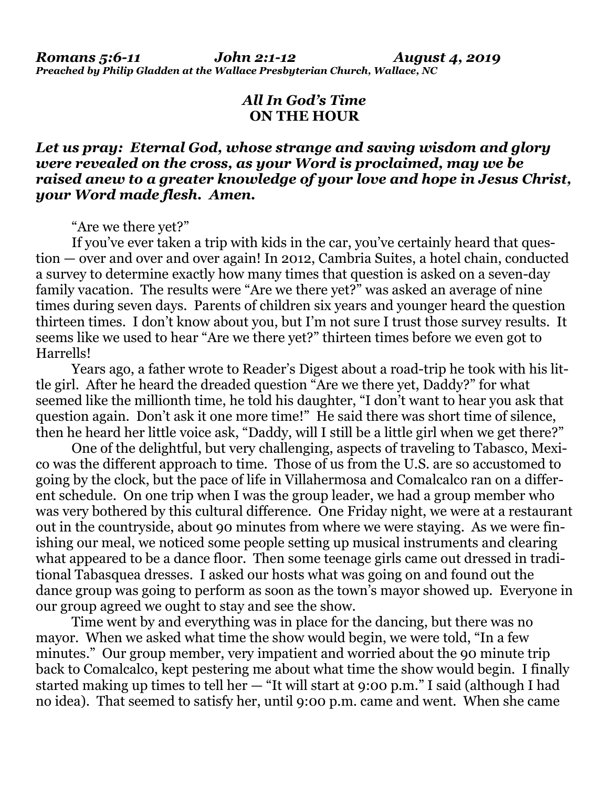## *All In God's Time* **ON THE HOUR**

## *Let us pray: Eternal God, whose strange and saving wisdom and glory were revealed on the cross, as your Word is proclaimed, may we be raised anew to a greater knowledge of your love and hope in Jesus Christ, your Word made flesh. Amen.*

"Are we there yet?"

If you've ever taken a trip with kids in the car, you've certainly heard that question — over and over and over again! In 2012, Cambria Suites, a hotel chain, conducted a survey to determine exactly how many times that question is asked on a seven-day family vacation. The results were "Are we there yet?" was asked an average of nine times during seven days. Parents of children six years and younger heard the question thirteen times. I don't know about you, but I'm not sure I trust those survey results. It seems like we used to hear "Are we there yet?" thirteen times before we even got to Harrells!

Years ago, a father wrote to Reader's Digest about a road-trip he took with his little girl. After he heard the dreaded question "Are we there yet, Daddy?" for what seemed like the millionth time, he told his daughter, "I don't want to hear you ask that question again. Don't ask it one more time!" He said there was short time of silence, then he heard her little voice ask, "Daddy, will I still be a little girl when we get there?"

One of the delightful, but very challenging, aspects of traveling to Tabasco, Mexico was the different approach to time. Those of us from the U.S. are so accustomed to going by the clock, but the pace of life in Villahermosa and Comalcalco ran on a different schedule. On one trip when I was the group leader, we had a group member who was very bothered by this cultural difference. One Friday night, we were at a restaurant out in the countryside, about 90 minutes from where we were staying. As we were finishing our meal, we noticed some people setting up musical instruments and clearing what appeared to be a dance floor. Then some teenage girls came out dressed in traditional Tabasquea dresses. I asked our hosts what was going on and found out the dance group was going to perform as soon as the town's mayor showed up. Everyone in our group agreed we ought to stay and see the show.

Time went by and everything was in place for the dancing, but there was no mayor. When we asked what time the show would begin, we were told, "In a few minutes." Our group member, very impatient and worried about the 90 minute trip back to Comalcalco, kept pestering me about what time the show would begin. I finally started making up times to tell her — "It will start at 9:00 p.m." I said (although I had no idea). That seemed to satisfy her, until 9:00 p.m. came and went. When she came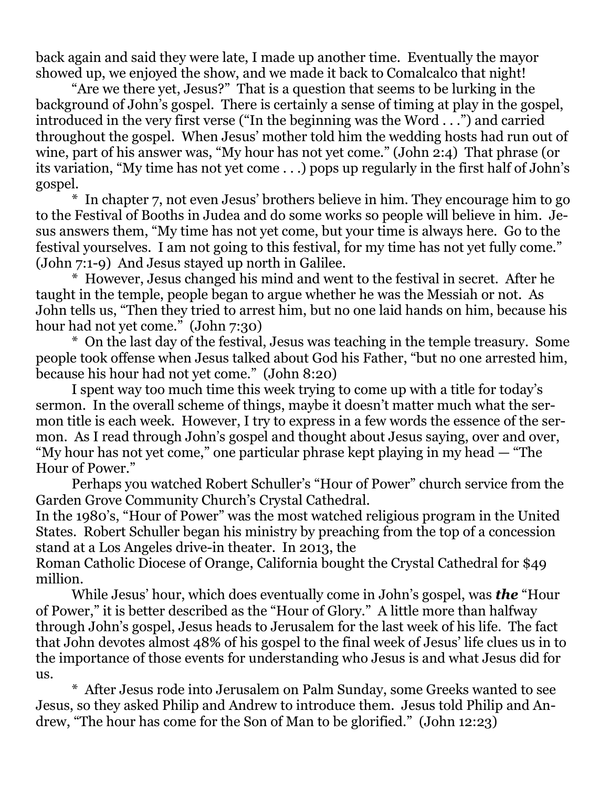back again and said they were late, I made up another time. Eventually the mayor showed up, we enjoyed the show, and we made it back to Comalcalco that night!

"Are we there yet, Jesus?" That is a question that seems to be lurking in the background of John's gospel. There is certainly a sense of timing at play in the gospel, introduced in the very first verse ("In the beginning was the Word . . .") and carried throughout the gospel. When Jesus' mother told him the wedding hosts had run out of wine, part of his answer was, "My hour has not yet come." (John 2:4) That phrase (or its variation, "My time has not yet come . . .) pops up regularly in the first half of John's gospel.

\* In chapter 7, not even Jesus' brothers believe in him. They encourage him to go to the Festival of Booths in Judea and do some works so people will believe in him. Jesus answers them, "My time has not yet come, but your time is always here. Go to the festival yourselves. I am not going to this festival, for my time has not yet fully come." (John 7:1-9) And Jesus stayed up north in Galilee.

\* However, Jesus changed his mind and went to the festival in secret. After he taught in the temple, people began to argue whether he was the Messiah or not. As John tells us, "Then they tried to arrest him, but no one laid hands on him, because his hour had not yet come." (John 7:30)

\* On the last day of the festival, Jesus was teaching in the temple treasury. Some people took offense when Jesus talked about God his Father, "but no one arrested him, because his hour had not yet come." (John 8:20)

I spent way too much time this week trying to come up with a title for today's sermon. In the overall scheme of things, maybe it doesn't matter much what the sermon title is each week. However, I try to express in a few words the essence of the sermon. As I read through John's gospel and thought about Jesus saying, over and over, "My hour has not yet come," one particular phrase kept playing in my head — "The Hour of Power."

Perhaps you watched Robert Schuller's "Hour of Power" church service from the Garden Grove Community Church's Crystal Cathedral.

In the 1980's, "Hour of Power" was the most watched religious program in the United States. Robert Schuller began his ministry by preaching from the top of a concession stand at a Los Angeles drive-in theater. In 2013, the

Roman Catholic Diocese of Orange, California bought the Crystal Cathedral for \$49 million.

While Jesus' hour, which does eventually come in John's gospel, was *the* "Hour of Power," it is better described as the "Hour of Glory." A little more than halfway through John's gospel, Jesus heads to Jerusalem for the last week of his life. The fact that John devotes almost 48% of his gospel to the final week of Jesus' life clues us in to the importance of those events for understanding who Jesus is and what Jesus did for us.

\* After Jesus rode into Jerusalem on Palm Sunday, some Greeks wanted to see Jesus, so they asked Philip and Andrew to introduce them. Jesus told Philip and Andrew, "The hour has come for the Son of Man to be glorified." (John 12:23)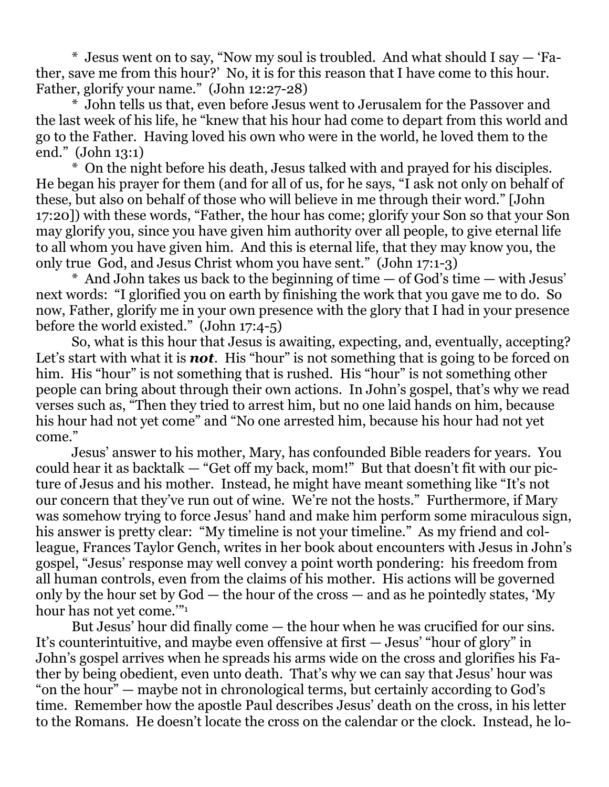\* Jesus went on to say, "Now my soul is troubled. And what should I say — 'Father, save me from this hour?' No, it is for this reason that I have come to this hour. Father, glorify your name." (John 12:27-28)

\* John tells us that, even before Jesus went to Jerusalem for the Passover and the last week of his life, he "knew that his hour had come to depart from this world and go to the Father. Having loved his own who were in the world, he loved them to the end." (John 13:1)

\* On the night before his death, Jesus talked with and prayed for his disciples. He began his prayer for them (and for all of us, for he says, "I ask not only on behalf of these, but also on behalf of those who will believe in me through their word." [John 17:20]) with these words, "Father, the hour has come; glorify your Son so that your Son may glorify you, since you have given him authority over all people, to give eternal life to all whom you have given him. And this is eternal life, that they may know you, the only true God, and Jesus Christ whom you have sent." (John 17:1-3)

\* And John takes us back to the beginning of time — of God's time — with Jesus' next words: "I glorified you on earth by finishing the work that you gave me to do. So now, Father, glorify me in your own presence with the glory that I had in your presence before the world existed." (John 17:4-5)

So, what is this hour that Jesus is awaiting, expecting, and, eventually, accepting? Let's start with what it is **not**. His "hour" is not something that is going to be forced on him. His "hour" is not something that is rushed. His "hour" is not something other people can bring about through their own actions. In John's gospel, that's why we read verses such as, "Then they tried to arrest him, but no one laid hands on him, because his hour had not yet come" and "No one arrested him, because his hour had not yet come."

Jesus' answer to his mother, Mary, has confounded Bible readers for years. You could hear it as backtalk — "Get off my back, mom!" But that doesn't fit with our picture of Jesus and his mother. Instead, he might have meant something like "It's not our concern that they've run out of wine. We're not the hosts." Furthermore, if Mary was somehow trying to force Jesus' hand and make him perform some miraculous sign, his answer is pretty clear: "My timeline is not your timeline." As my friend and colleague, Frances Taylor Gench, writes in her book about encounters with Jesus in John's gospel, "Jesus' response may well convey a point worth pondering: his freedom from all human controls, even from the claims of his mother. His actions will be governed only by the hour set by God — the hour of the cross — and as he pointedly states, 'My hour has not yet come.'"<sup>1</sup>

But Jesus' hour did finally come — the hour when he was crucified for our sins. It's counterintuitive, and maybe even offensive at first — Jesus' "hour of glory" in John's gospel arrives when he spreads his arms wide on the cross and glorifies his Father by being obedient, even unto death. That's why we can say that Jesus' hour was "on the hour" — maybe not in chronological terms, but certainly according to God's time. Remember how the apostle Paul describes Jesus' death on the cross, in his letter to the Romans. He doesn't locate the cross on the calendar or the clock. Instead, he lo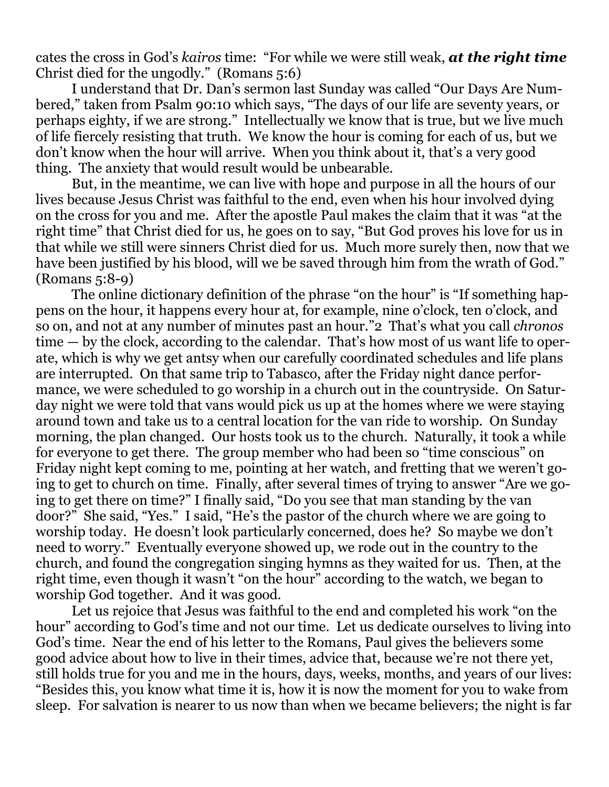cates the cross in God's *kairos* time: "For while we were still weak, *at the right time* Christ died for the ungodly." (Romans 5:6)

I understand that Dr. Dan's sermon last Sunday was called "Our Days Are Numbered," taken from Psalm 90:10 which says, "The days of our life are seventy years, or perhaps eighty, if we are strong." Intellectually we know that is true, but we live much of life fiercely resisting that truth. We know the hour is coming for each of us, but we don't know when the hour will arrive. When you think about it, that's a very good thing. The anxiety that would result would be unbearable.

But, in the meantime, we can live with hope and purpose in all the hours of our lives because Jesus Christ was faithful to the end, even when his hour involved dying on the cross for you and me. After the apostle Paul makes the claim that it was "at the right time" that Christ died for us, he goes on to say, "But God proves his love for us in that while we still were sinners Christ died for us. Much more surely then, now that we have been justified by his blood, will we be saved through him from the wrath of God." (Romans 5:8-9)

The online dictionary definition of the phrase "on the hour" is "If something happens on the hour, it happens every hour at, for example, nine o'clock, ten o'clock, and so on, and not at any number of minutes past an hour."2 That's what you call *chronos* time — by the clock, according to the calendar. That's how most of us want life to operate, which is why we get antsy when our carefully coordinated schedules and life plans are interrupted. On that same trip to Tabasco, after the Friday night dance performance, we were scheduled to go worship in a church out in the countryside. On Saturday night we were told that vans would pick us up at the homes where we were staying around town and take us to a central location for the van ride to worship. On Sunday morning, the plan changed. Our hosts took us to the church. Naturally, it took a while for everyone to get there. The group member who had been so "time conscious" on Friday night kept coming to me, pointing at her watch, and fretting that we weren't going to get to church on time. Finally, after several times of trying to answer "Are we going to get there on time?" I finally said, "Do you see that man standing by the van door?" She said, "Yes." I said, "He's the pastor of the church where we are going to worship today. He doesn't look particularly concerned, does he? So maybe we don't need to worry." Eventually everyone showed up, we rode out in the country to the church, and found the congregation singing hymns as they waited for us. Then, at the right time, even though it wasn't "on the hour" according to the watch, we began to worship God together. And it was good.

Let us rejoice that Jesus was faithful to the end and completed his work "on the hour" according to God's time and not our time. Let us dedicate ourselves to living into God's time. Near the end of his letter to the Romans, Paul gives the believers some good advice about how to live in their times, advice that, because we're not there yet, still holds true for you and me in the hours, days, weeks, months, and years of our lives: "Besides this, you know what time it is, how it is now the moment for you to wake from sleep. For salvation is nearer to us now than when we became believers; the night is far